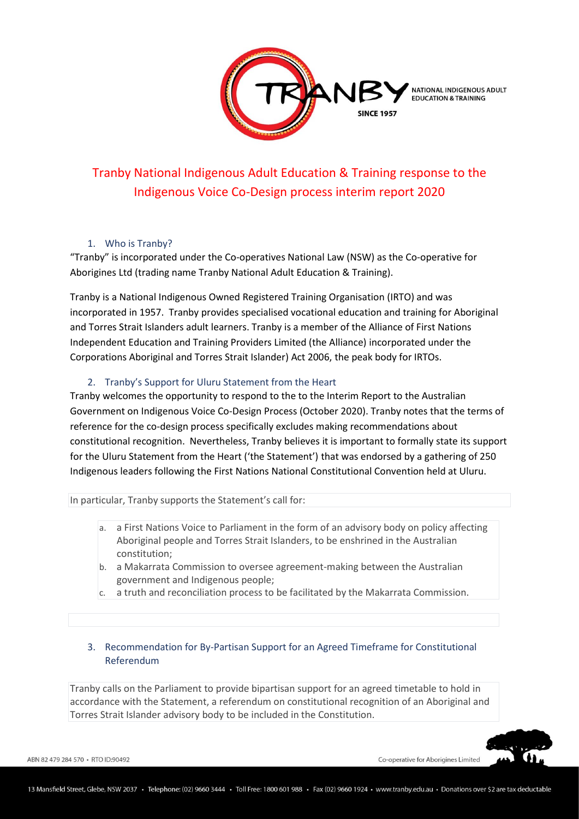

# Tranby National Indigenous Adult Education & Training response to the Indigenous Voice Co-Design process interim report 2020

# 1. Who is Tranby?

"Tranby" is incorporated under the Co-operatives National Law (NSW) as the Co-operative for Aborigines Ltd (trading name Tranby National Adult Education & Training).

Tranby is a National Indigenous Owned Registered Training Organisation (IRTO) and was incorporated in 1957. Tranby provides specialised vocational education and training for Aboriginal and Torres Strait Islanders adult learners. Tranby is a member of the Alliance of First Nations Independent Education and Training Providers Limited (the Alliance) incorporated under the Corporations Aboriginal and Torres Strait Islander) Act 2006, the peak body for IRTOs.

# 2. Tranby's Support for Uluru Statement from the Heart

Tranby welcomes the opportunity to respond to the to the Interim Report to the Australian Government on Indigenous Voice Co-Design Process (October 2020). Tranby notes that the terms of reference for the co-design process specifically excludes making recommendations about constitutional recognition. Nevertheless, Tranby believes it is important to formally state its support for the Uluru Statement from the Heart ('the Statement') that was endorsed by a gathering of 250 Indigenous leaders following the First Nations National Constitutional Convention held at Uluru.

In particular, Tranby supports the Statement's call for:

- a. a First Nations Voice to Parliament in the form of an advisory body on policy affecting Aboriginal people and Torres Strait Islanders, to be enshrined in the Australian constitution;
- b. a Makarrata Commission to oversee agreement-making between the Australian government and Indigenous people;
- c. a truth and reconciliation process to be facilitated by the Makarrata Commission.

# 3. Recommendation for By-Partisan Support for an Agreed Timeframe for Constitutional Referendum

Tranby calls on the Parliament to provide bipartisan support for an agreed timetable to hold in accordance with the Statement, a referendum on constitutional recognition of an Aboriginal and Torres Strait Islander advisory body to be included in the Constitution.

ABN 82 479 284 570 · RTO ID:90492

Co-operative for Aborigines Limited

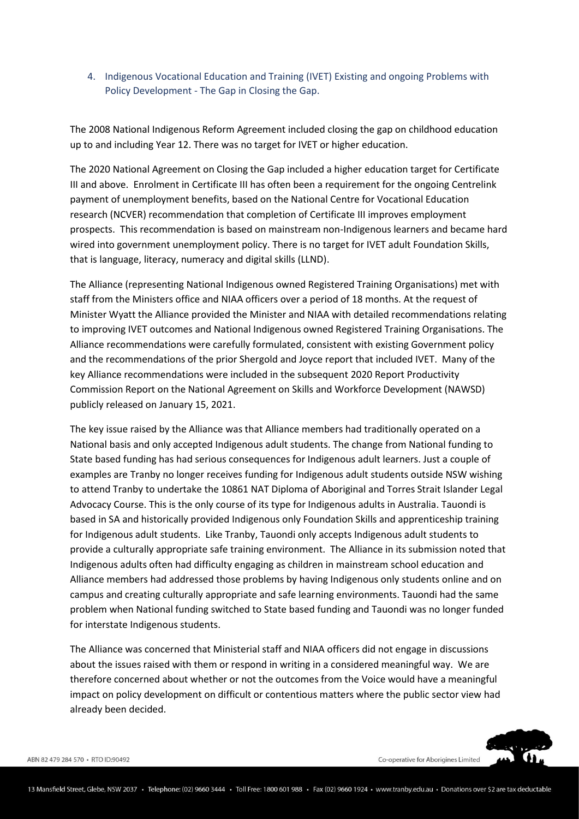4. Indigenous Vocational Education and Training (IVET) Existing and ongoing Problems with Policy Development - The Gap in Closing the Gap.

The 2008 National Indigenous Reform Agreement included closing the gap on childhood education up to and including Year 12. There was no target for IVET or higher education.

The 2020 National Agreement on Closing the Gap included a higher education target for Certificate III and above. Enrolment in Certificate III has often been a requirement for the ongoing Centrelink payment of unemployment benefits, based on the National Centre for Vocational Education research (NCVER) recommendation that completion of Certificate III improves employment prospects. This recommendation is based on mainstream non-Indigenous learners and became hard wired into government unemployment policy. There is no target for IVET adult Foundation Skills, that is language, literacy, numeracy and digital skills (LLND).

The Alliance (representing National Indigenous owned Registered Training Organisations) met with staff from the Ministers office and NIAA officers over a period of 18 months. At the request of Minister Wyatt the Alliance provided the Minister and NIAA with detailed recommendations relating to improving IVET outcomes and National Indigenous owned Registered Training Organisations. The Alliance recommendations were carefully formulated, consistent with existing Government policy and the recommendations of the prior Shergold and Joyce report that included IVET. Many of the key Alliance recommendations were included in the subsequent 2020 Report Productivity Commission Report on the National Agreement on Skills and Workforce Development (NAWSD) publicly released on January 15, 2021.

The key issue raised by the Alliance was that Alliance members had traditionally operated on a National basis and only accepted Indigenous adult students. The change from National funding to State based funding has had serious consequences for Indigenous adult learners. Just a couple of examples are Tranby no longer receives funding for Indigenous adult students outside NSW wishing to attend Tranby to undertake the 10861 NAT Diploma of Aboriginal and Torres Strait Islander Legal Advocacy Course. This is the only course of its type for Indigenous adults in Australia. Tauondi is based in SA and historically provided Indigenous only Foundation Skills and apprenticeship training for Indigenous adult students. Like Tranby, Tauondi only accepts Indigenous adult students to provide a culturally appropriate safe training environment. The Alliance in its submission noted that Indigenous adults often had difficulty engaging as children in mainstream school education and Alliance members had addressed those problems by having Indigenous only students online and on campus and creating culturally appropriate and safe learning environments. Tauondi had the same problem when National funding switched to State based funding and Tauondi was no longer funded for interstate Indigenous students.

The Alliance was concerned that Ministerial staff and NIAA officers did not engage in discussions about the issues raised with them or respond in writing in a considered meaningful way. We are therefore concerned about whether or not the outcomes from the Voice would have a meaningful impact on policy development on difficult or contentious matters where the public sector view had already been decided.

Co-operative for Aborigines Limited



ABN 82 479 284 570 · RTO ID:90492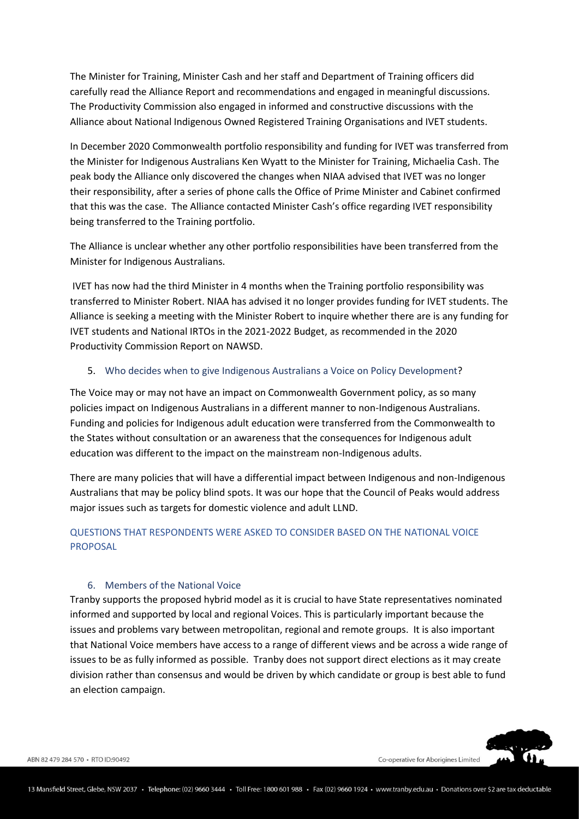The Minister for Training, Minister Cash and her staff and Department of Training officers did carefully read the Alliance Report and recommendations and engaged in meaningful discussions. The Productivity Commission also engaged in informed and constructive discussions with the Alliance about National Indigenous Owned Registered Training Organisations and IVET students.

In December 2020 Commonwealth portfolio responsibility and funding for IVET was transferred from the Minister for Indigenous Australians Ken Wyatt to the Minister for Training, Michaelia Cash. The peak body the Alliance only discovered the changes when NIAA advised that IVET was no longer their responsibility, after a series of phone calls the Office of Prime Minister and Cabinet confirmed that this was the case. The Alliance contacted Minister Cash's office regarding IVET responsibility being transferred to the Training portfolio.

The Alliance is unclear whether any other portfolio responsibilities have been transferred from the Minister for Indigenous Australians.

IVET has now had the third Minister in 4 months when the Training portfolio responsibility was transferred to Minister Robert. NIAA has advised it no longer provides funding for IVET students. The Alliance is seeking a meeting with the Minister Robert to inquire whether there are is any funding for IVET students and National IRTOs in the 2021-2022 Budget, as recommended in the 2020 Productivity Commission Report on NAWSD.

#### 5. Who decides when to give Indigenous Australians a Voice on Policy Development?

The Voice may or may not have an impact on Commonwealth Government policy, as so many policies impact on Indigenous Australians in a different manner to non-Indigenous Australians. Funding and policies for Indigenous adult education were transferred from the Commonwealth to the States without consultation or an awareness that the consequences for Indigenous adult education was different to the impact on the mainstream non-Indigenous adults.

There are many policies that will have a differential impact between Indigenous and non-Indigenous Australians that may be policy blind spots. It was our hope that the Council of Peaks would address major issues such as targets for domestic violence and adult LLND.

## QUESTIONS THAT RESPONDENTS WERE ASKED TO CONSIDER BASED ON THE NATIONAL VOICE PROPOSAL

#### 6. Members of the National Voice

Tranby supports the proposed hybrid model as it is crucial to have State representatives nominated informed and supported by local and regional Voices. This is particularly important because the issues and problems vary between metropolitan, regional and remote groups. It is also important that National Voice members have access to a range of different views and be across a wide range of issues to be as fully informed as possible. Tranby does not support direct elections as it may create division rather than consensus and would be driven by which candidate or group is best able to fund an election campaign.

ABN 82 479 284 570 · RTO ID:90492

Co-operative for Aborigines Limited

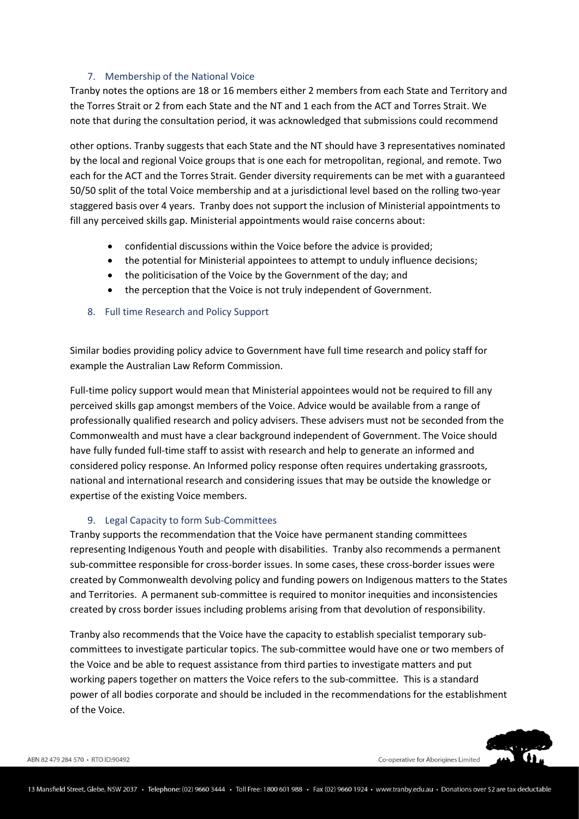## 7. Membership of the National Voice

Tranby notes the options are 18 or 16 members either 2 members from each State and Territory and the Torres Strait or 2 from each State and the NT and 1 each from the ACT and Torres Strait. We note that during the consultation period, it was acknowledged that submissions could recommend

other options. Tranby suggests that each State and the NT should have 3 representatives nominated by the local and regional Voice groups that is one each for metropolitan, regional, and remote. Two each for the ACT and the Torres Strait. Gender diversity requirements can be met with a guaranteed 50/50 split of the total Voice membership and at a jurisdictional level based on the rolling two-year staggered basis over 4 years. Tranby does not support the inclusion of Ministerial appointments to fill any perceived skills gap. Ministerial appointments would raise concerns about:

- confidential discussions within the Voice before the advice is provided;
- the potential for Ministerial appointees to attempt to unduly influence decisions;
- the politicisation of the Voice by the Government of the day; and
- the perception that the Voice is not truly independent of Government.
- 8. Full time Research and Policy Support

Similar bodies providing policy advice to Government have full time research and policy staff for example the Australian Law Reform Commission.

Full-time policy support would mean that Ministerial appointees would not be required to fill any perceived skills gap amongst members of the Voice. Advice would be available from a range of professionally qualified research and policy advisers. These advisers must not be seconded from the Commonwealth and must have a clear background independent of Government. The Voice should have fully funded full-time staff to assist with research and help to generate an informed and considered policy response. An Informed policy response often requires undertaking grassroots, national and international research and considering issues that may be outside the knowledge or expertise of the existing Voice members.

## 9. Legal Capacity to form Sub-Committees

Tranby supports the recommendation that the Voice have permanent standing committees representing Indigenous Youth and people with disabilities. Tranby also recommends a permanent sub-committee responsible for cross-border issues. In some cases, these cross-border issues were created by Commonwealth devolving policy and funding powers on Indigenous matters to the States and Territories. A permanent sub-committee is required to monitor inequities and inconsistencies created by cross border issues including problems arising from that devolution of responsibility.

Tranby also recommends that the Voice have the capacity to establish specialist temporary subcommittees to investigate particular topics. The sub-committee would have one or two members of the Voice and be able to request assistance from third parties to investigate matters and put working papers together on matters the Voice refers to the sub-committee. This is a standard power of all bodies corporate and should be included in the recommendations for the establishment of the Voice.

Co-operative for Aborigines Limited



ABN 82 479 284 570 · RTO ID:90492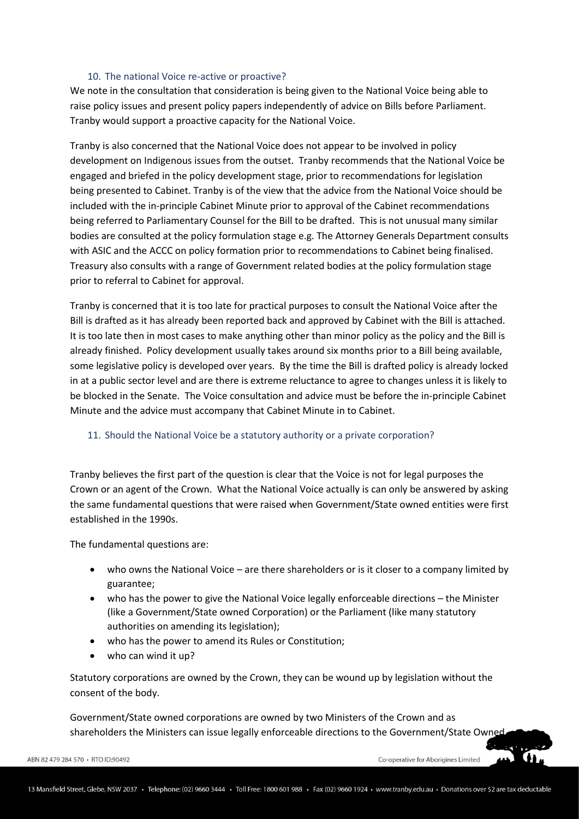#### 10. The national Voice re-active or proactive?

We note in the consultation that consideration is being given to the National Voice being able to raise policy issues and present policy papers independently of advice on Bills before Parliament. Tranby would support a proactive capacity for the National Voice.

Tranby is also concerned that the National Voice does not appear to be involved in policy development on Indigenous issues from the outset. Tranby recommends that the National Voice be engaged and briefed in the policy development stage, prior to recommendations for legislation being presented to Cabinet. Tranby is of the view that the advice from the National Voice should be included with the in-principle Cabinet Minute prior to approval of the Cabinet recommendations being referred to Parliamentary Counsel for the Bill to be drafted. This is not unusual many similar bodies are consulted at the policy formulation stage e.g. The Attorney Generals Department consults with ASIC and the ACCC on policy formation prior to recommendations to Cabinet being finalised. Treasury also consults with a range of Government related bodies at the policy formulation stage prior to referral to Cabinet for approval.

Tranby is concerned that it is too late for practical purposes to consult the National Voice after the Bill is drafted as it has already been reported back and approved by Cabinet with the Bill is attached. It is too late then in most cases to make anything other than minor policy as the policy and the Bill is already finished. Policy development usually takes around six months prior to a Bill being available, some legislative policy is developed over years. By the time the Bill is drafted policy is already locked in at a public sector level and are there is extreme reluctance to agree to changes unless it is likely to be blocked in the Senate. The Voice consultation and advice must be before the in-principle Cabinet Minute and the advice must accompany that Cabinet Minute in to Cabinet.

## 11. Should the National Voice be a statutory authority or a private corporation?

Tranby believes the first part of the question is clear that the Voice is not for legal purposes the Crown or an agent of the Crown. What the National Voice actually is can only be answered by asking the same fundamental questions that were raised when Government/State owned entities were first established in the 1990s.

The fundamental questions are:

- who owns the National Voice are there shareholders or is it closer to a company limited by guarantee;
- who has the power to give the National Voice legally enforceable directions the Minister (like a Government/State owned Corporation) or the Parliament (like many statutory authorities on amending its legislation);
- who has the power to amend its Rules or Constitution;
- who can wind it up?

Statutory corporations are owned by the Crown, they can be wound up by legislation without the consent of the body.

Government/State owned corporations are owned by two Ministers of the Crown and as shareholders the Ministers can issue legally enforceable directions to the Government/State Owned

Co-operative for Aborigines Limited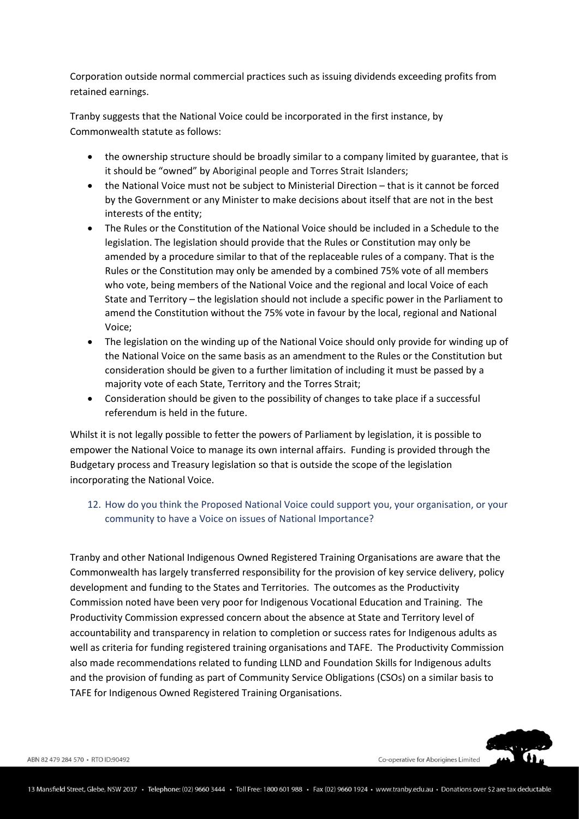Corporation outside normal commercial practices such as issuing dividends exceeding profits from retained earnings.

Tranby suggests that the National Voice could be incorporated in the first instance, by Commonwealth statute as follows:

- the ownership structure should be broadly similar to a company limited by guarantee, that is it should be "owned" by Aboriginal people and Torres Strait Islanders;
- the National Voice must not be subject to Ministerial Direction that is it cannot be forced by the Government or any Minister to make decisions about itself that are not in the best interests of the entity;
- The Rules or the Constitution of the National Voice should be included in a Schedule to the legislation. The legislation should provide that the Rules or Constitution may only be amended by a procedure similar to that of the replaceable rules of a company. That is the Rules or the Constitution may only be amended by a combined 75% vote of all members who vote, being members of the National Voice and the regional and local Voice of each State and Territory – the legislation should not include a specific power in the Parliament to amend the Constitution without the 75% vote in favour by the local, regional and National Voice;
- The legislation on the winding up of the National Voice should only provide for winding up of the National Voice on the same basis as an amendment to the Rules or the Constitution but consideration should be given to a further limitation of including it must be passed by a majority vote of each State, Territory and the Torres Strait;
- Consideration should be given to the possibility of changes to take place if a successful referendum is held in the future.

Whilst it is not legally possible to fetter the powers of Parliament by legislation, it is possible to empower the National Voice to manage its own internal affairs. Funding is provided through the Budgetary process and Treasury legislation so that is outside the scope of the legislation incorporating the National Voice.

12. How do you think the Proposed National Voice could support you, your organisation, or your community to have a Voice on issues of National Importance?

Tranby and other National Indigenous Owned Registered Training Organisations are aware that the Commonwealth has largely transferred responsibility for the provision of key service delivery, policy development and funding to the States and Territories. The outcomes as the Productivity Commission noted have been very poor for Indigenous Vocational Education and Training. The Productivity Commission expressed concern about the absence at State and Territory level of accountability and transparency in relation to completion or success rates for Indigenous adults as well as criteria for funding registered training organisations and TAFE. The Productivity Commission also made recommendations related to funding LLND and Foundation Skills for Indigenous adults and the provision of funding as part of Community Service Obligations (CSOs) on a similar basis to TAFE for Indigenous Owned Registered Training Organisations.